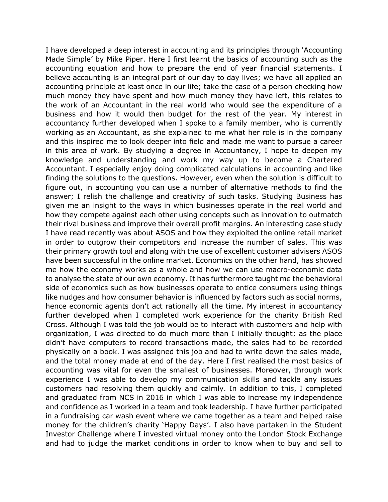I have developed a deep interest in accounting and its principles through 'Accounting Made Simple' by Mike Piper. Here I first learnt the basics of accounting such as the accounting equation and how to prepare the end of year financial statements. I believe accounting is an integral part of our day to day lives; we have all applied an accounting principle at least once in our life; take the case of a person checking how much money they have spent and how much money they have left, this relates to the work of an Accountant in the real world who would see the expenditure of a business and how it would then budget for the rest of the year. My interest in accountancy further developed when I spoke to a family member, who is currently working as an Accountant, as she explained to me what her role is in the company and this inspired me to look deeper into field and made me want to pursue a career in this area of work. By studying a degree in Accountancy, I hope to deepen my knowledge and understanding and work my way up to become a Chartered Accountant. I especially enjoy doing complicated calculations in accounting and like finding the solutions to the questions. However, even when the solution is difficult to figure out, in accounting you can use a number of alternative methods to find the answer; I relish the challenge and creativity of such tasks. Studying Business has given me an insight to the ways in which businesses operate in the real world and how they compete against each other using concepts such as innovation to outmatch their rival business and improve their overall profit margins. An interesting case study I have read recently was about ASOS and how they exploited the online retail market in order to outgrow their competitors and increase the number of sales. This was their primary growth tool and along with the use of excellent customer advisers ASOS have been successful in the online market. Economics on the other hand, has showed me how the economy works as a whole and how we can use macro-economic data to analyse the state of our own economy. It has furthermore taught me the behavioral side of economics such as how businesses operate to entice consumers using things like nudges and how consumer behavior is influenced by factors such as social norms, hence economic agents don't act rationally all the time. My interest in accountancy further developed when I completed work experience for the charity British Red Cross. Although I was told the job would be to interact with customers and help with organization, I was directed to do much more than I initially thought; as the place didn't have computers to record transactions made, the sales had to be recorded physically on a book. I was assigned this job and had to write down the sales made, and the total money made at end of the day. Here I first realised the most basics of accounting was vital for even the smallest of businesses. Moreover, through work experience I was able to develop my communication skills and tackle any issues customers had resolving them quickly and calmly. In addition to this, I completed and graduated from NCS in 2016 in which I was able to increase my independence and confidence as I worked in a team and took leadership. I have further participated in a fundraising car wash event where we came together as a team and helped raise money for the children's charity 'Happy Days'. I also have partaken in the Student Investor Challenge where I invested virtual money onto the London Stock Exchange and had to judge the market conditions in order to know when to buy and sell to